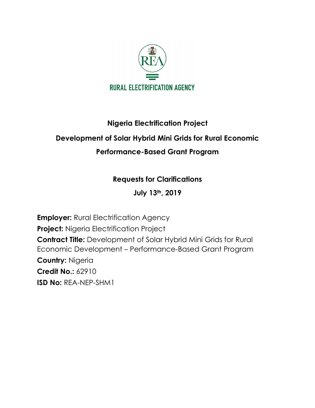

## **Nigeria Electrification Project Development of Solar Hybrid Mini Grids for Rural Economic Performance-Based Grant Program**

## **Requests for Clarifications**

**July 13th, 2019**

**Employer: Rural Electrification Agency Project:** Nigeria Electrification Project **Contract Title:** Development of Solar Hybrid Mini Grids for Rural Economic Development – Performance-Based Grant Program **Country:** Nigeria **Credit No.:** 62910 **ISD No:** REA-NEP-SHM1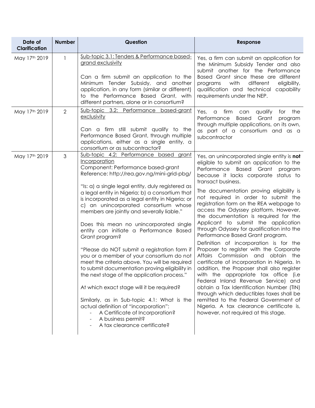| Date of<br><b>Clarification</b> | <b>Number</b>  | Question                                                                                                                                                                                                                                                                                                                                                                                                                                                                                                                                                                                                                                                                                                                                                                                                                                                                                                                                                                             | Response                                                                                                                                                                                                                                                                                                                                                                                                                                                                                                                                                                                                                                                                                                                                                                                                                                                                                                                                                                                                                                                     |
|---------------------------------|----------------|--------------------------------------------------------------------------------------------------------------------------------------------------------------------------------------------------------------------------------------------------------------------------------------------------------------------------------------------------------------------------------------------------------------------------------------------------------------------------------------------------------------------------------------------------------------------------------------------------------------------------------------------------------------------------------------------------------------------------------------------------------------------------------------------------------------------------------------------------------------------------------------------------------------------------------------------------------------------------------------|--------------------------------------------------------------------------------------------------------------------------------------------------------------------------------------------------------------------------------------------------------------------------------------------------------------------------------------------------------------------------------------------------------------------------------------------------------------------------------------------------------------------------------------------------------------------------------------------------------------------------------------------------------------------------------------------------------------------------------------------------------------------------------------------------------------------------------------------------------------------------------------------------------------------------------------------------------------------------------------------------------------------------------------------------------------|
| May 17th 2019                   | $\mathbf{1}$   | Sub-topic 3.1: Tenders & Performance based-<br>grand exclusivity<br>Can a firm submit an application to the<br>Minimum Tender Subsidy, and another<br>application, in any form (similar or different)<br>to the Performance Based Grant, with<br>different partners, alone or in consortium?                                                                                                                                                                                                                                                                                                                                                                                                                                                                                                                                                                                                                                                                                         | Yes, a firm can submit an application for<br>the Minimum Subsidy Tender and also<br>submit another for the Performance<br>Based Grant since these are different<br>with<br>different<br>eligibility,<br>programs<br>qualification and technical capability<br>requirements under the NEP.                                                                                                                                                                                                                                                                                                                                                                                                                                                                                                                                                                                                                                                                                                                                                                    |
| May 17th 2019                   | $\overline{2}$ | Sub-topic 3.2: Performance based-grant<br>exclusivity<br>Can a firm still submit qualify to the<br>Performance Based Grant, through multiple<br>applications, either as a single entity, a<br>consortium or as subcontractor?                                                                                                                                                                                                                                                                                                                                                                                                                                                                                                                                                                                                                                                                                                                                                        | for the<br>Yes, a<br>firm<br>qualify<br>can<br>Performance<br>Based Grant<br>program<br>through multiple applications, on its own,<br>as part of a consortium and as a<br>subcontractor                                                                                                                                                                                                                                                                                                                                                                                                                                                                                                                                                                                                                                                                                                                                                                                                                                                                      |
| May 17th 2019                   | 3              | Sub-topic 4.2: Performance based grant<br>Incorporation<br>Component: Performance based-grant<br>Reference: http://rea.gov.ng/mini-grid-pbg/<br>"Is: a) a single legal entity, duly registered as<br>a legal entity in Nigeria; b) a consortium that<br>is incorporated as a legal entity in Nigeria; or<br>c) an unincorporated consortium whose<br>members are jointly and severally liable."<br>Does this mean no unincorporated single<br>entity can initiate a Performance Based<br>Grant program?<br>"Please do NOT submit a registration form if<br>you or a member of your consortium do not<br>meet the criteria above. You will be required<br>to submit documentation proving eligibility in<br>the next stage of the application process."<br>At which exact stage will it be required?<br>Similarly, as in Sub-topic 4.1: What is the<br>actual definition of "incorporation":<br>A Certificate of Incorporation?<br>A business permit?<br>A tax clearance certificate? | Yes, an unincorporated single entity is not<br>eligible to submit an application to the<br>Performance Based Grant program<br>because it lacks corporate status to<br>transact business.<br>The documentation proving eligibility is<br>not required in order to submit the<br>registration form on the REA webpage to<br>access the Odyssey platform. However,<br>the documentation is required for the<br>Applicant to submit the application<br>through Odyssey for qualification into the<br>Performance Based Grant program.<br>Definition of incorporation is for the<br>Proposer to register with the Corporate<br>Affairs Commission and obtain the<br>certificate of incorporation in Nigeria. In<br>addition, the Proposer shall also register<br>with the appropriate tax office (i.e<br>Federal Inland Revenue Service) and<br>obtain a Tax Identification Number (TIN)<br>through which deductibles taxes shall be<br>remitted to the Federal Government of<br>Nigeria. A tax clearance certificate is,<br>however, not required at this stage. |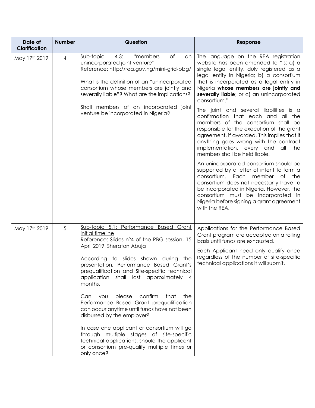| Date of<br><b>Clarification</b> | <b>Number</b>  | Question                                                                                                                                                                                                                                                                                                                                                                                                                                                                                                                                                                                                                                                                                                               | Response                                                                                                                                                                                                                                                                                                                                                                                                                                                                                                                                     |
|---------------------------------|----------------|------------------------------------------------------------------------------------------------------------------------------------------------------------------------------------------------------------------------------------------------------------------------------------------------------------------------------------------------------------------------------------------------------------------------------------------------------------------------------------------------------------------------------------------------------------------------------------------------------------------------------------------------------------------------------------------------------------------------|----------------------------------------------------------------------------------------------------------------------------------------------------------------------------------------------------------------------------------------------------------------------------------------------------------------------------------------------------------------------------------------------------------------------------------------------------------------------------------------------------------------------------------------------|
| May 17th 2019                   | $\overline{4}$ | "members<br>Sub-topic<br>4.3:<br>Оf<br>an<br>unincorporated joint venture"<br>Reference: http://rea.gov.ng/mini-grid-pbg/<br>What is the definition of an "unincorporated<br>consortium whose members are jointly and<br>severally liable"? What are the implications?<br>Shall members of an incorporated joint<br>venture be incorporated in Nigeria?                                                                                                                                                                                                                                                                                                                                                                | The language on the REA registration<br>website has been amended to "Is: a) a<br>single legal entity, duly registered as a<br>legal entity in Nigeria; b) a consortium<br>that is incorporated as a legal entity in<br>Nigeria whose members are jointly and<br>severally liable; or c) an unincorporated<br>consortium."<br>The joint and several liabilities is a<br>confirmation that each and all the<br>members of the consortium shall be<br>responsible for the execution of the grant<br>agreement, if awarded. This implies that if |
|                                 |                |                                                                                                                                                                                                                                                                                                                                                                                                                                                                                                                                                                                                                                                                                                                        | anything goes wrong with the contract<br>implementation, every and all the<br>members shall be held liable.<br>An unincorporated consortium should be<br>supported by a letter of intent to form a<br>consortium. Each member of the<br>consortium does not necessarily have to<br>be incorporated in Nigeria. However, the<br>consortium must be incorporated in<br>Nigeria before signing a grant agreement<br>with the REA.                                                                                                               |
| May 17th 2019                   | 5              | Sub-topic 5.1: Performance Based Grant<br>initial timeline<br>Reference: Slides n°4 of the PBG session, 15<br>April 2019, Sheraton Abuja<br>According to slides shown during the<br>presentation, Performance Based Grant's<br>prequalification and Site-specific technical<br>application<br>shall last approximately 4<br>months.<br>please<br>confirm<br>that<br>the<br>Can<br>you<br>Performance Based Grant prequalification<br>can occur anytime until funds have not been<br>disbursed by the employer?<br>In case one applicant or consortium will go<br>through multiple stages of site-specific<br>technical applications, should the applicant<br>or consortium pre-qualify multiple times or<br>only once? | Applications for the Performance Based<br>Grant program are accepted on a rolling<br>basis until funds are exhausted.<br>Each Applicant need only qualify once<br>regardless of the number of site-specific<br>technical applications it will submit.                                                                                                                                                                                                                                                                                        |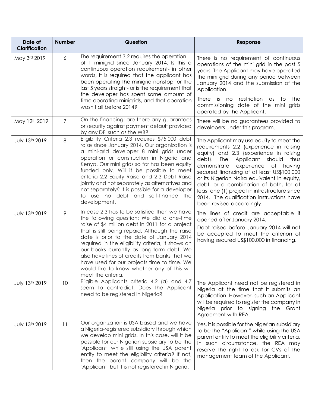| Date of<br><b>Clarification</b> | <b>Number</b>  | Question                                                                                                                                                                                                                                                                                                                                                                                                                                                                                                           | Response                                                                                                                                                                                                                                                                                                                                                                                                                                                                           |
|---------------------------------|----------------|--------------------------------------------------------------------------------------------------------------------------------------------------------------------------------------------------------------------------------------------------------------------------------------------------------------------------------------------------------------------------------------------------------------------------------------------------------------------------------------------------------------------|------------------------------------------------------------------------------------------------------------------------------------------------------------------------------------------------------------------------------------------------------------------------------------------------------------------------------------------------------------------------------------------------------------------------------------------------------------------------------------|
| May 3rd 2019                    | 6              | The requirement 3.2 requires the operation<br>of 1 minigrid since January 2014. Is this a<br>continuous operation requirement- in other<br>words, it is required that the applicant has<br>been operating the minigrid nonstop for the<br>last 5 years straight- or is the requirement that<br>the developer has spent some amount of<br>time operating minigrids, and that operation<br>wasn't all before 2014?                                                                                                   | There is no requirement of continuous<br>operations of the mini grid in the past 5<br>years. The Applicant may have operated<br>the mini grid during any period between<br>January 2014 and the submission of the<br>Application.<br>restriction as<br>There is no<br>the<br>to<br>commissioning date of the mini grids<br>operated by the Applicant.                                                                                                                              |
| May 12th 2019                   | $\overline{7}$ | On the financing: are there any guarantees<br>or security against payment default provided<br>by any DFI such as the WB?                                                                                                                                                                                                                                                                                                                                                                                           | There will be no guarantees provided to<br>developers under this program.                                                                                                                                                                                                                                                                                                                                                                                                          |
| July 13th 2019                  | 8              | Eligibility Criteria 2.3 requires \$75,000 debt<br>raise since January 2014. Our organization is<br>a mini-grid developer 8 mini grids under<br>operation or construction in Nigeria and<br>Kenya. Our mini grids so far has been equity<br>funded only. Will it be possible to meet<br>criteria 2.2 Equity Raise and 2.3 Debt Raise<br>jointly and not separately as alternatives and<br>not separately? It is possible for a developer<br>to use no debt and self-finance the<br>development.                    | The Applicant may use equity to meet the<br>requirements 2.2 (experience in raising<br>equity) and 2.3 (experience in raising<br>debt).<br>The<br>Applicant should<br>thus<br>demonstrate<br>experience of having<br>secured financing of at least US\$100,000<br>or its Nigerian Naira equivalent in equity,<br>debt, or a combination of both, for at<br>least one (1) project in infrastructure since<br>2014. The qualification instructions have<br>been revised accordingly. |
| July 13th 2019                  | 9              | In case 2.3 has to be satisfied then we have<br>the following question: We did a one-time<br>raise of \$4 million debt in 2011 for a project<br>that is still being repaid. Although the raise<br>date is prior to the date of January 2014<br>required in the eligibility criteria, it shows on<br>our books currently as long-term debt. We<br>also have lines of credits from banks that we<br>have used for our projects time to time. We<br>would like to know whether any of this will<br>meet the criteria. | The lines of credit are acceptable if<br>opened after January 2014.<br>Debt raised before January 2014 will not<br>be accepted to meet the criterion of<br>having secured US\$100,000 in financing.                                                                                                                                                                                                                                                                                |
| July 13th 2019                  | 10             | Eligible Applicants criteria 4.2 (a) and 4.7<br>seem to contradict. Does the Applicant<br>need to be registered in Nigeria?                                                                                                                                                                                                                                                                                                                                                                                        | The Applicant need not be registered in<br>Nigeria at the time that it submits an<br>Application. However, such an Applicant<br>will be required to register the company in<br>Nigeria prior to signing the Grant<br>Agreement with REA.                                                                                                                                                                                                                                           |
| July 13th 2019                  | 11             | Our organization is USA based and we have<br>a Nigeria-registered subsidiary through which<br>we develop mini grids. In this case, will it be<br>possible for our Nigerian subsidiary to be the<br>"Applicant" while still using the USA parent<br>entity to meet the eligibility criteria? If not,<br>then the parent company will be the<br>"Applicant" but it is not registered in Nigeria.                                                                                                                     | Yes, it is possible for the Nigerian subsidiary<br>to be the "Applicant" while using the USA<br>parent entity to meet the eligibility criteria.<br>In such circumstance, the REA may<br>reserve the right to ask for CVs of the<br>management team of the Applicant.                                                                                                                                                                                                               |